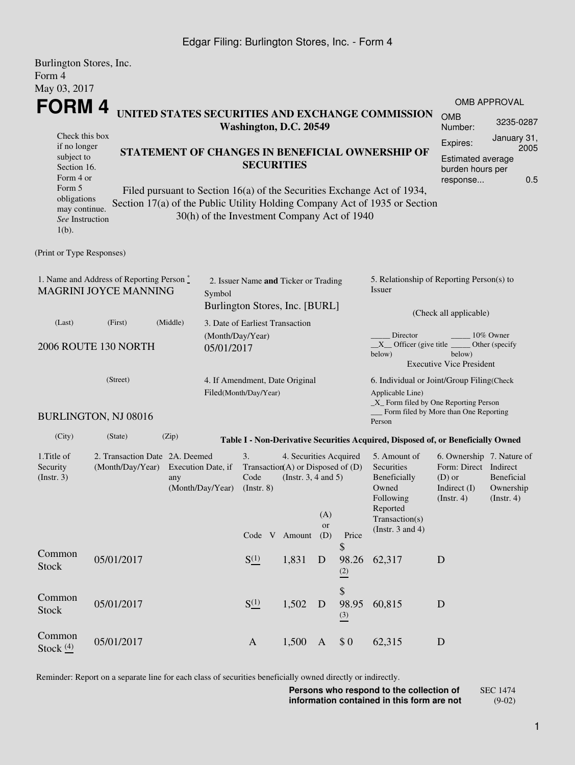## Edgar Filing: Burlington Stores, Inc. - Form 4

| Burlington Stores, Inc.                                                                                                                       |                      |                   |                                                                       |                                                                        |                                                          |              |                                                                                                                         |                                                                                                                                                       |                       |              |  |
|-----------------------------------------------------------------------------------------------------------------------------------------------|----------------------|-------------------|-----------------------------------------------------------------------|------------------------------------------------------------------------|----------------------------------------------------------|--------------|-------------------------------------------------------------------------------------------------------------------------|-------------------------------------------------------------------------------------------------------------------------------------------------------|-----------------------|--------------|--|
| Form 4                                                                                                                                        |                      |                   |                                                                       |                                                                        |                                                          |              |                                                                                                                         |                                                                                                                                                       |                       |              |  |
| May 03, 2017<br><b>FORM4</b>                                                                                                                  |                      |                   |                                                                       |                                                                        |                                                          |              |                                                                                                                         |                                                                                                                                                       |                       | OMB APPROVAL |  |
| UNITED STATES SECURITIES AND EXCHANGE COMMISSION<br>Washington, D.C. 20549                                                                    |                      |                   |                                                                       |                                                                        |                                                          |              |                                                                                                                         |                                                                                                                                                       | <b>OMB</b><br>Number: | 3235-0287    |  |
| Check this box<br>if no longer                                                                                                                |                      |                   |                                                                       |                                                                        |                                                          |              | Expires:                                                                                                                | January 31,<br>2005                                                                                                                                   |                       |              |  |
| subject to<br>Section 16.<br>Form 4 or                                                                                                        |                      | <b>SECURITIES</b> |                                                                       | STATEMENT OF CHANGES IN BENEFICIAL OWNERSHIP OF                        | Estimated average<br>burden hours per<br>0.5<br>response |              |                                                                                                                         |                                                                                                                                                       |                       |              |  |
| Form 5<br>obligations<br>may continue.<br>See Instruction<br>$1(b)$ .                                                                         |                      |                   |                                                                       | 30(h) of the Investment Company Act of 1940                            |                                                          |              |                                                                                                                         | Filed pursuant to Section 16(a) of the Securities Exchange Act of 1934,<br>Section 17(a) of the Public Utility Holding Company Act of 1935 or Section |                       |              |  |
| (Print or Type Responses)                                                                                                                     |                      |                   |                                                                       |                                                                        |                                                          |              |                                                                                                                         |                                                                                                                                                       |                       |              |  |
| 1. Name and Address of Reporting Person $\degree$<br><b>MAGRINI JOYCE MANNING</b><br>Symbol                                                   |                      |                   |                                                                       | 2. Issuer Name and Ticker or Trading<br>Burlington Stores, Inc. [BURL] |                                                          |              |                                                                                                                         | 5. Relationship of Reporting Person(s) to<br>Issuer                                                                                                   |                       |              |  |
| (Last)                                                                                                                                        | (First)              | (Middle)          |                                                                       | 3. Date of Earliest Transaction                                        |                                                          |              |                                                                                                                         | (Check all applicable)                                                                                                                                |                       |              |  |
| 2006 ROUTE 130 NORTH                                                                                                                          |                      |                   | (Month/Day/Year)<br>05/01/2017                                        |                                                                        |                                                          |              |                                                                                                                         | Director<br>10% Owner<br>$X$ Officer (give title $\overline{\phantom{a}}$<br>Other (specify<br>below)<br>below)<br><b>Executive Vice President</b>    |                       |              |  |
| (Street)                                                                                                                                      |                      |                   |                                                                       | 4. If Amendment, Date Original<br>Filed(Month/Day/Year)                |                                                          |              |                                                                                                                         | 6. Individual or Joint/Group Filing(Check<br>Applicable Line)<br>$\_X$ Form filed by One Reporting Person<br>Form filed by More than One Reporting    |                       |              |  |
|                                                                                                                                               | BURLINGTON, NJ 08016 |                   |                                                                       |                                                                        |                                                          |              |                                                                                                                         | Person                                                                                                                                                |                       |              |  |
| (City)                                                                                                                                        | (State)              | (Zip)             |                                                                       |                                                                        |                                                          |              |                                                                                                                         | Table I - Non-Derivative Securities Acquired, Disposed of, or Beneficially Owned                                                                      |                       |              |  |
| 1. Title of<br>2. Transaction Date 2A. Deemed<br>(Month/Day/Year)<br>Execution Date, if<br>Security<br>(Insert. 3)<br>any<br>(Month/Day/Year) |                      |                   | 3.<br>Transaction(A) or Disposed of $(D)$<br>Code<br>$($ Instr. 8 $)$ | 4. Securities Acquired<br>(Instr. $3, 4$ and $5$ )                     | (A)<br><b>or</b>                                         |              | 5. Amount of<br>Securities<br>Beneficially<br>Owned<br>Following<br>Reported<br>Transaction(s)<br>(Instr. $3$ and $4$ ) | 6. Ownership 7. Nature of<br>Form: Direct Indirect<br>Beneficial<br>$(D)$ or<br>Indirect (I)<br>Ownership<br>(Insert. 4)<br>(Insert. 4)               |                       |              |  |
|                                                                                                                                               |                      |                   |                                                                       | Code V Amount                                                          |                                                          | (D)          | Price<br>\$                                                                                                             |                                                                                                                                                       |                       |              |  |
| Common<br><b>Stock</b>                                                                                                                        | 05/01/2017           |                   |                                                                       | S(1)                                                                   | 1,831                                                    | $\mathbf D$  | 98.26<br>(2)                                                                                                            | 62,317                                                                                                                                                | D                     |              |  |
| Common<br><b>Stock</b>                                                                                                                        | 05/01/2017           |                   |                                                                       | $S^{(1)}_{-}$                                                          | 1,502                                                    | D            | \$<br>98.95<br>$\frac{(3)}{2}$                                                                                          | 60,815                                                                                                                                                | D                     |              |  |
| Common<br>Stock $(4)$                                                                                                                         | 05/01/2017           |                   |                                                                       | $\mathbf{A}$                                                           | 1,500                                                    | $\mathbf{A}$ | \$0                                                                                                                     | 62,315                                                                                                                                                | D                     |              |  |

Reminder: Report on a separate line for each class of securities beneficially owned directly or indirectly.

**Persons who respond to the collection of information contained in this form are not** SEC 1474 (9-02)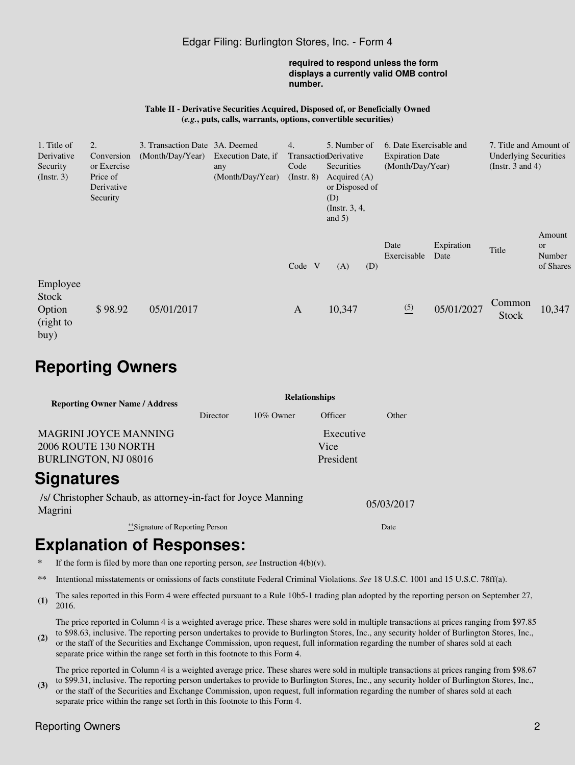### Edgar Filing: Burlington Stores, Inc. - Form 4

#### **required to respond unless the form displays a currently valid OMB control number.**

#### **Table II - Derivative Securities Acquired, Disposed of, or Beneficially Owned (***e.g.***, puts, calls, warrants, options, convertible securities)**

| 1. Title of<br>Derivative<br>Security            | Conversion<br>or Exercise          | 3. Transaction Date 3A. Deemed<br>(Month/Day/Year) | Execution Date, if<br>any | 4.<br>Code       | 5. Number of<br>TransactionDerivative<br>Securities                    |     | 6. Date Exercisable and<br><b>Expiration Date</b><br>(Month/Day/Year) |                    | 7. Title and Amount of<br><b>Underlying Securities</b><br>(Instr. $3$ and $4$ ) |                                            |
|--------------------------------------------------|------------------------------------|----------------------------------------------------|---------------------------|------------------|------------------------------------------------------------------------|-----|-----------------------------------------------------------------------|--------------------|---------------------------------------------------------------------------------|--------------------------------------------|
| $($ Instr. 3 $)$                                 | Price of<br>Derivative<br>Security |                                                    | (Month/Day/Year)          | $($ Instr. 8 $)$ | Acquired $(A)$<br>or Disposed of<br>(D)<br>(Instr. $3, 4,$<br>and $5)$ |     |                                                                       |                    |                                                                                 |                                            |
|                                                  |                                    |                                                    |                           | Code V           | (A)                                                                    | (D) | Date<br>Exercisable                                                   | Expiration<br>Date | Title                                                                           | Amount<br><b>or</b><br>Number<br>of Shares |
| Employee<br>Stock<br>Option<br>(right to<br>buy) | \$98.92                            | 05/01/2017                                         |                           | $\mathbf{A}$     | 10,347                                                                 |     | $\frac{(5)}{2}$                                                       | 05/01/2027         | Common<br>Stock                                                                 | 10,347                                     |

# **Reporting Owners**

| <b>Reporting Owner Name / Address</b> | <b>Relationships</b> |              |           |       |  |  |  |  |
|---------------------------------------|----------------------|--------------|-----------|-------|--|--|--|--|
|                                       | Director             | $10\%$ Owner | Officer   | Other |  |  |  |  |
| <b>MAGRINI JOYCE MANNING</b>          |                      |              | Executive |       |  |  |  |  |
| 2006 ROUTE 130 NORTH                  |                      |              | Vice      |       |  |  |  |  |
| BURLINGTON, NJ 08016                  |                      |              | President |       |  |  |  |  |
| Signatures                            |                      |              |           |       |  |  |  |  |

/s/ Christopher Schaub, as attorney-in-fact for Joyce Manning Magrini 05/03/2017

\*\*Signature of Reporting Person Date

# **Explanation of Responses:**

- **\*** If the form is filed by more than one reporting person, *see* Instruction 4(b)(v).
- **\*\*** Intentional misstatements or omissions of facts constitute Federal Criminal Violations. *See* 18 U.S.C. 1001 and 15 U.S.C. 78ff(a).
- **(1)** The sales reported in this Form 4 were effected pursuant to a Rule 10b5-1 trading plan adopted by the reporting person on September 27, 2016.

The price reported in Column 4 is a weighted average price. These shares were sold in multiple transactions at prices ranging from \$97.85 to \$98.63, inclusive. The reporting person undertakes to provide to Burlington Stores, Inc., any security holder of Burlington Stores, Inc.,

**(2)** or the staff of the Securities and Exchange Commission, upon request, full information regarding the number of shares sold at each separate price within the range set forth in this footnote to this Form 4.

**(3)** The price reported in Column 4 is a weighted average price. These shares were sold in multiple transactions at prices ranging from \$98.67 to \$99.31, inclusive. The reporting person undertakes to provide to Burlington Stores, Inc., any security holder of Burlington Stores, Inc., or the staff of the Securities and Exchange Commission, upon request, full information regarding the number of shares sold at each separate price within the range set forth in this footnote to this Form 4.